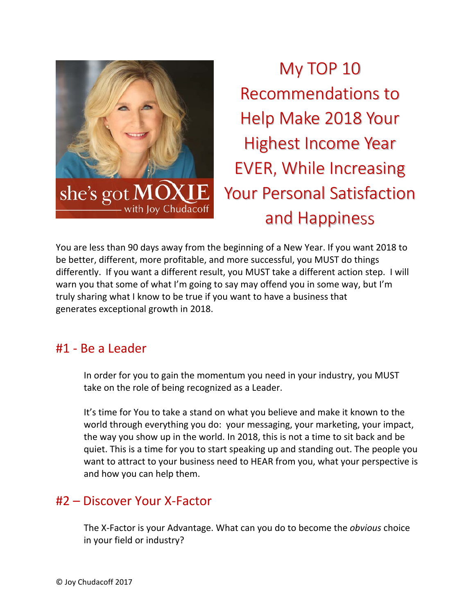

My TOP 10 Recommendations to Help Make 2018 Your Highest Income Year EVER, While Increasing Your Personal Satisfaction and Happiness

You are less than 90 days away from the beginning of a New Year. If you want 2018 to be better, different, more profitable, and more successful, you MUST do things differently. If you want a different result, you MUST take a different action step. I will warn you that some of what I'm going to say may offend you in some way, but I'm truly sharing what I know to be true if you want to have a business that generates exceptional growth in 2018.

#### #1 ‐ Be a Leader

In order for you to gain the momentum you need in your industry, you MUST take on the role of being recognized as a Leader.

It's time for You to take a stand on what you believe and make it known to the world through everything you do: your messaging, your marketing, your impact, the way you show up in the world. In 2018, this is not a time to sit back and be quiet. This is a time for you to start speaking up and standing out. The people you want to attract to your business need to HEAR from you, what your perspective is and how you can help them.

#### #2 – Discover Your X‐Factor

The X‐Factor is your Advantage. What can you do to become the *obvious* choice in your field or industry?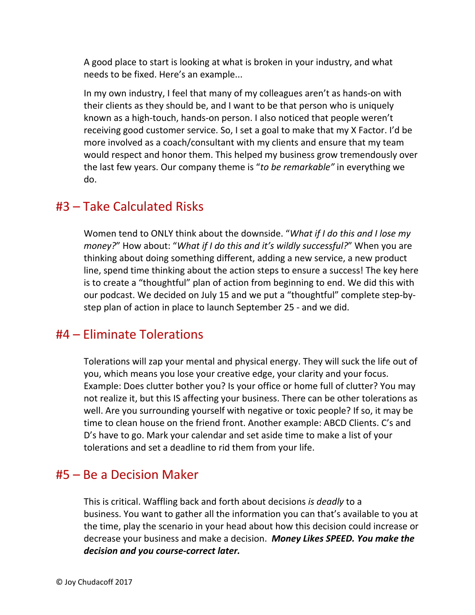A good place to start is looking at what is broken in your industry, and what needs to be fixed. Here's an example...

In my own industry, I feel that many of my colleagues aren't as hands‐on with their clients as they should be, and I want to be that person who is uniquely known as a high‐touch, hands‐on person. I also noticed that people weren't receiving good customer service. So, I set a goal to make that my X Factor. I'd be more involved as a coach/consultant with my clients and ensure that my team would respect and honor them. This helped my business grow tremendously over the last few years. Our company theme is "*to be remarkable"* in everything we do.

#### #3 – Take Calculated Risks

Women tend to ONLY think about the downside. "*What if I do this and I lose my money?*" How about: "*What if I do this and it's wildly successful?*" When you are thinking about doing something different, adding a new service, a new product line, spend time thinking about the action steps to ensure a success! The key here is to create a "thoughtful" plan of action from beginning to end. We did this with our podcast. We decided on July 15 and we put a "thoughtful" complete step‐by‐ step plan of action in place to launch September 25 ‐ and we did.

#### #4 – Eliminate Tolerations

Tolerations will zap your mental and physical energy. They will suck the life out of you, which means you lose your creative edge, your clarity and your focus. Example: Does clutter bother you? Is your office or home full of clutter? You may not realize it, but this IS affecting your business. There can be other tolerations as well. Are you surrounding yourself with negative or toxic people? If so, it may be time to clean house on the friend front. Another example: ABCD Clients. C's and D's have to go. Mark your calendar and set aside time to make a list of your tolerations and set a deadline to rid them from your life.

### #5 – Be a Decision Maker

This is critical. Waffling back and forth about decisions *is deadly* to a business. You want to gather all the information you can that's available to you at the time, play the scenario in your head about how this decision could increase or decrease your business and make a decision. *Money Likes SPEED. You make the decision and you course‐correct later.*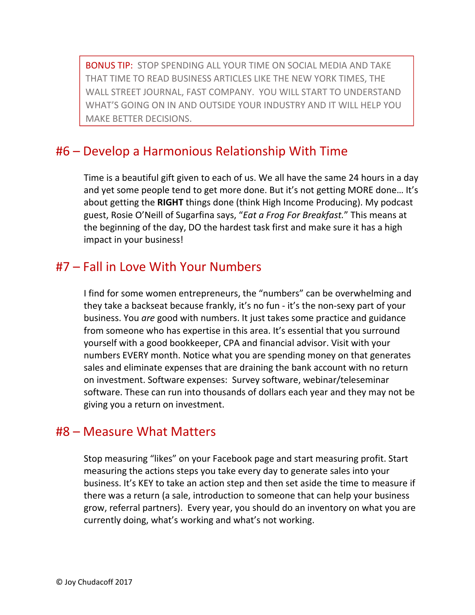BONUS TIP: STOP SPENDING ALL YOUR TIME ON SOCIAL MEDIA AND TAKE THAT TIME TO READ BUSINESS ARTICLES LIKE THE NEW YORK TIMES, THE WALL STREET JOURNAL, FAST COMPANY. YOU WILL START TO UNDERSTAND WHAT'S GOING ON IN AND OUTSIDE YOUR INDUSTRY AND IT WILL HELP YOU MAKE BETTER DECISIONS.

#### #6 – Develop a Harmonious Relationship With Time

Time is a beautiful gift given to each of us. We all have the same 24 hours in a day and yet some people tend to get more done. But it's not getting MORE done… It's about getting the **RIGHT** things done (think High Income Producing). My podcast guest, Rosie O'Neill of Sugarfina says, "*Eat a Frog For Breakfast.*" This means at the beginning of the day, DO the hardest task first and make sure it has a high impact in your business!

### #7 – Fall in Love With Your Numbers

I find for some women entrepreneurs, the "numbers" can be overwhelming and they take a backseat because frankly, it's no fun ‐ it's the non‐sexy part of your business. You *are* good with numbers. It just takes some practice and guidance from someone who has expertise in this area. It's essential that you surround yourself with a good bookkeeper, CPA and financial advisor. Visit with your numbers EVERY month. Notice what you are spending money on that generates sales and eliminate expenses that are draining the bank account with no return on investment. Software expenses: Survey software, webinar/teleseminar software. These can run into thousands of dollars each year and they may not be giving you a return on investment.

### #8 – Measure What Matters

Stop measuring "likes" on your Facebook page and start measuring profit. Start measuring the actions steps you take every day to generate sales into your business. It's KEY to take an action step and then set aside the time to measure if there was a return (a sale, introduction to someone that can help your business grow, referral partners). Every year, you should do an inventory on what you are currently doing, what's working and what's not working.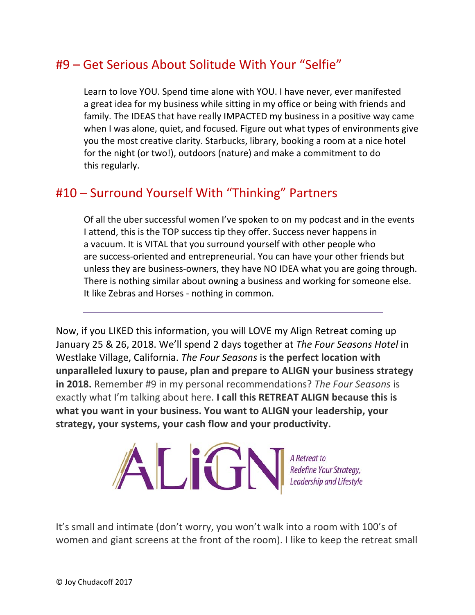## #9 – Get Serious About Solitude With Your "Selfie"

Learn to love YOU. Spend time alone with YOU. I have never, ever manifested a great idea for my business while sitting in my office or being with friends and family. The IDEAS that have really IMPACTED my business in a positive way came when I was alone, quiet, and focused. Figure out what types of environments give you the most creative clarity. Starbucks, library, booking a room at a nice hotel for the night (or two!), outdoors (nature) and make a commitment to do this regularly.

### #10 – Surround Yourself With "Thinking" Partners

Of all the uber successful women I've spoken to on my podcast and in the events I attend, this is the TOP success tip they offer. Success never happens in a vacuum. It is VITAL that you surround yourself with other people who are success‐oriented and entrepreneurial. You can have your other friends but unless they are business‐owners, they have NO IDEA what you are going through. There is nothing similar about owning a business and working for someone else. It like Zebras and Horses ‐ nothing in common.

Now, if you LIKED this information, you will LOVE my Align Retreat coming up January 25 & 26, 2018. We'll spend 2 days together at *The Four Seasons Hotel* in Westlake Village, California. *The Four Seasons* is **the perfect location with unparalleled luxury to pause, plan and prepare to ALIGN your business strategy in 2018.** Remember #9 in my personal recommendations? *The Four Seasons* is exactly what I'm talking about here. **I call this RETREAT ALIGN because this is what you want in your business. You want to ALIGN your leadership, your strategy, your systems, your cash flow and your productivity.**



It's small and intimate (don't worry, you won't walk into a room with 100's of women and giant screens at the front of the room). I like to keep the retreat small